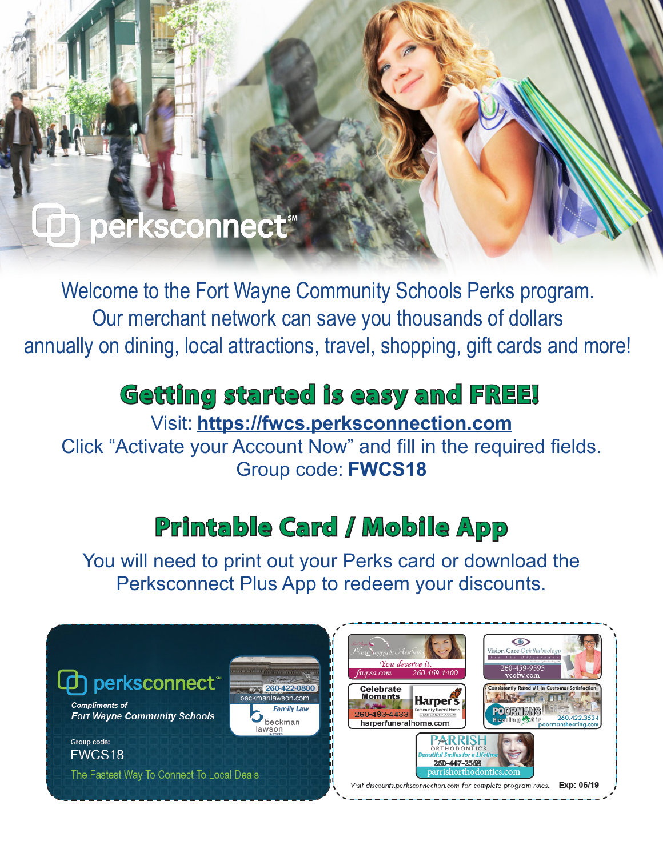## perksconnect<sup>®</sup>

Welcome to the Fort Wayne Community Schools Perks program. Our merchant network can save you thousands of dollars annually on dining, local attractions, travel, shopping, gift cards and more!

## **Getting started is easy and FREE!**

Visit: **https://fwcs.perksconnection.com**

Click "Activate your Account Now" and fill in the required fields. Group code: **FWCS18**

## **Printable Card / Mobile App**

You will need to print out your Perks card or download the Perksconnect Plus App to redeem your discounts.